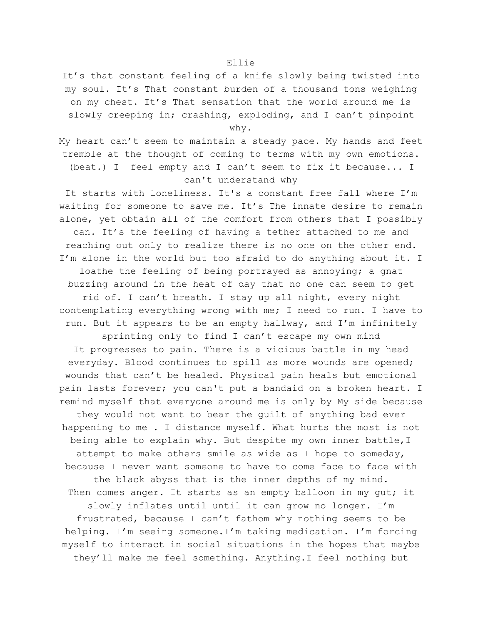## Ellie

It's that constant feeling of a knife slowly being twisted into my soul. It's That constant burden of a thousand tons weighing on my chest. It's That sensation that the world around me is slowly creeping in; crashing, exploding, and I can't pinpoint

why.

My heart can't seem to maintain a steady pace. My hands and feet tremble at the thought of coming to terms with my own emotions. (beat.) I feel empty and I can't seem to fix it because... I can't understand why

It starts with loneliness. It's a constant free fall where I'm waiting for someone to save me. It's The innate desire to remain alone, yet obtain all of the comfort from others that I possibly can. It's the feeling of having a tether attached to me and reaching out only to realize there is no one on the other end. I'm alone in the world but too afraid to do anything about it. I loathe the feeling of being portrayed as annoying; a gnat buzzing around in the heat of day that no one can seem to get rid of. I can't breath. I stay up all night, every night contemplating everything wrong with me; I need to run. I have to run. But it appears to be an empty hallway, and I'm infinitely sprinting only to find I can't escape my own mind It progresses to pain. There is a vicious battle in my head everyday. Blood continues to spill as more wounds are opened; wounds that can't be healed. Physical pain heals but emotional pain lasts forever; you can't put a bandaid on a broken heart. I remind myself that everyone around me is only by My side because they would not want to bear the guilt of anything bad ever happening to me . I distance myself. What hurts the most is not being able to explain why. But despite my own inner battle, I attempt to make others smile as wide as I hope to someday, because I never want someone to have to come face to face with the black abyss that is the inner depths of my mind. Then comes anger. It starts as an empty balloon in my gut; it slowly inflates until until it can grow no longer. I'm frustrated, because I can't fathom why nothing seems to be helping. I'm seeing someone.I'm taking medication. I'm forcing myself to interact in social situations in the hopes that maybe they'll make me feel something. Anything.I feel nothing but